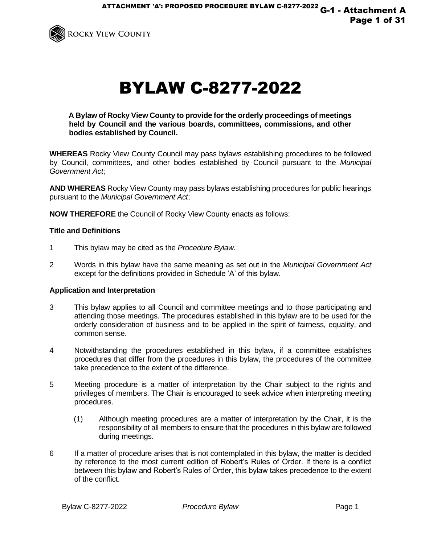

# BYLAW C-8277-2022

**A Bylaw of Rocky View County to provide for the orderly proceedings of meetings held by Council and the various boards, committees, commissions, and other bodies established by Council.** 

**WHEREAS** Rocky View County Council may pass bylaws establishing procedures to be followed by Council, committees, and other bodies established by Council pursuant to the *Municipal Government Act*;

**AND WHEREAS** Rocky View County may pass bylaws establishing procedures for public hearings pursuant to the *Municipal Government Act*;

**NOW THEREFORE** the Council of Rocky View County enacts as follows:

## **Title and Definitions**

- 1 This bylaw may be cited as the *Procedure Bylaw.*
- 2 Words in this bylaw have the same meaning as set out in the *Municipal Government Act*  except for the definitions provided in Schedule 'A' of this bylaw.

## **Application and Interpretation**

- 3 This bylaw applies to all Council and committee meetings and to those participating and attending those meetings. The procedures established in this bylaw are to be used for the orderly consideration of business and to be applied in the spirit of fairness, equality, and common sense.
- 4 Notwithstanding the procedures established in this bylaw, if a committee establishes procedures that differ from the procedures in this bylaw, the procedures of the committee take precedence to the extent of the difference.
- 5 Meeting procedure is a matter of interpretation by the Chair subject to the rights and privileges of members. The Chair is encouraged to seek advice when interpreting meeting procedures.
	- (1) Although meeting procedures are a matter of interpretation by the Chair, it is the responsibility of all members to ensure that the procedures in this bylaw are followed during meetings.
- 6 If a matter of procedure arises that is not contemplated in this bylaw, the matter is decided by reference to the most current edition of Robert's Rules of Order. If there is a conflict between this bylaw and Robert's Rules of Order, this bylaw takes precedence to the extent of the conflict.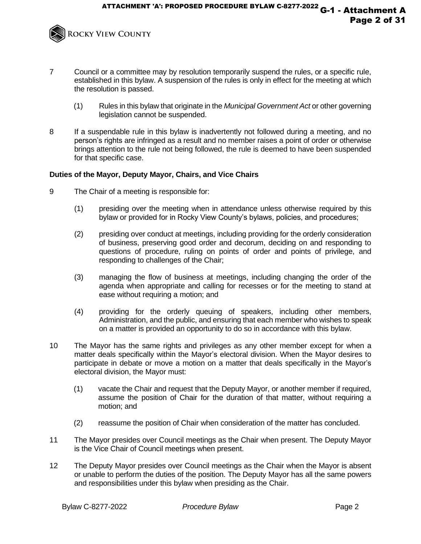

- 7 Council or a committee may by resolution temporarily suspend the rules, or a specific rule, established in this bylaw. A suspension of the rules is only in effect for the meeting at which the resolution is passed.
	- (1) Rules in this bylaw that originate in the *Municipal Government Act* or other governing legislation cannot be suspended.
- 8 If a suspendable rule in this bylaw is inadvertently not followed during a meeting, and no person's rights are infringed as a result and no member raises a point of order or otherwise brings attention to the rule not being followed, the rule is deemed to have been suspended for that specific case.

## **Duties of the Mayor, Deputy Mayor, Chairs, and Vice Chairs**

- 9 The Chair of a meeting is responsible for:
	- (1) presiding over the meeting when in attendance unless otherwise required by this bylaw or provided for in Rocky View County's bylaws, policies, and procedures;
	- (2) presiding over conduct at meetings, including providing for the orderly consideration of business, preserving good order and decorum, deciding on and responding to questions of procedure, ruling on points of order and points of privilege, and responding to challenges of the Chair;
	- (3) managing the flow of business at meetings, including changing the order of the agenda when appropriate and calling for recesses or for the meeting to stand at ease without requiring a motion; and
	- (4) providing for the orderly queuing of speakers, including other members, Administration, and the public, and ensuring that each member who wishes to speak on a matter is provided an opportunity to do so in accordance with this bylaw.
- 10 The Mayor has the same rights and privileges as any other member except for when a matter deals specifically within the Mayor's electoral division. When the Mayor desires to participate in debate or move a motion on a matter that deals specifically in the Mayor's electoral division, the Mayor must:
	- (1) vacate the Chair and request that the Deputy Mayor, or another member if required, assume the position of Chair for the duration of that matter, without requiring a motion; and
	- (2) reassume the position of Chair when consideration of the matter has concluded.
- 11 The Mayor presides over Council meetings as the Chair when present. The Deputy Mayor is the Vice Chair of Council meetings when present.
- 12 The Deputy Mayor presides over Council meetings as the Chair when the Mayor is absent or unable to perform the duties of the position. The Deputy Mayor has all the same powers and responsibilities under this bylaw when presiding as the Chair.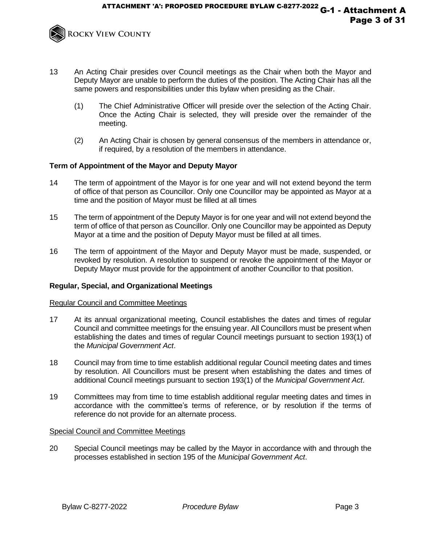

- 13 An Acting Chair presides over Council meetings as the Chair when both the Mayor and Deputy Mayor are unable to perform the duties of the position. The Acting Chair has all the same powers and responsibilities under this bylaw when presiding as the Chair.
	- (1) The Chief Administrative Officer will preside over the selection of the Acting Chair. Once the Acting Chair is selected, they will preside over the remainder of the meeting.
	- (2) An Acting Chair is chosen by general consensus of the members in attendance or, if required, by a resolution of the members in attendance.

# **Term of Appointment of the Mayor and Deputy Mayor**

- 14 The term of appointment of the Mayor is for one year and will not extend beyond the term of office of that person as Councillor. Only one Councillor may be appointed as Mayor at a time and the position of Mayor must be filled at all times
- 15 The term of appointment of the Deputy Mayor is for one year and will not extend beyond the term of office of that person as Councillor. Only one Councillor may be appointed as Deputy Mayor at a time and the position of Deputy Mayor must be filled at all times.
- 16 The term of appointment of the Mayor and Deputy Mayor must be made, suspended, or revoked by resolution. A resolution to suspend or revoke the appointment of the Mayor or Deputy Mayor must provide for the appointment of another Councillor to that position.

# **Regular, Special, and Organizational Meetings**

## Regular Council and Committee Meetings

- 17 At its annual organizational meeting, Council establishes the dates and times of regular Council and committee meetings for the ensuing year. All Councillors must be present when establishing the dates and times of regular Council meetings pursuant to section 193(1) of the *Municipal Government Act*.
- 18 Council may from time to time establish additional regular Council meeting dates and times by resolution. All Councillors must be present when establishing the dates and times of additional Council meetings pursuant to section 193(1) of the *Municipal Government Act*.
- 19 Committees may from time to time establish additional regular meeting dates and times in accordance with the committee's terms of reference, or by resolution if the terms of reference do not provide for an alternate process.

## Special Council and Committee Meetings

20 Special Council meetings may be called by the Mayor in accordance with and through the processes established in section 195 of the *Municipal Government Act*.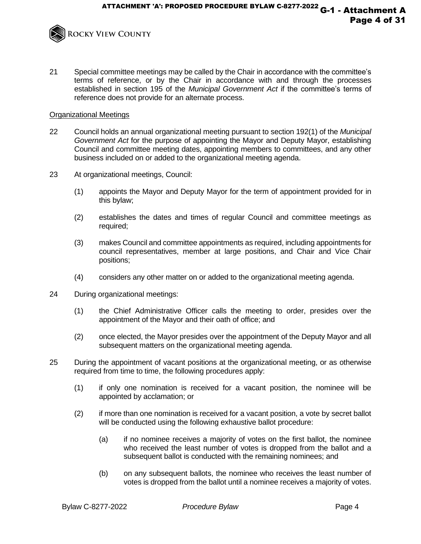

21 Special committee meetings may be called by the Chair in accordance with the committee's terms of reference, or by the Chair in accordance with and through the processes established in section 195 of the *Municipal Government Act* if the committee's terms of reference does not provide for an alternate process.

## Organizational Meetings

- 22 Council holds an annual organizational meeting pursuant to section 192(1) of the *Municipal Government Act* for the purpose of appointing the Mayor and Deputy Mayor, establishing Council and committee meeting dates, appointing members to committees, and any other business included on or added to the organizational meeting agenda.
- 23 At organizational meetings, Council:
	- (1) appoints the Mayor and Deputy Mayor for the term of appointment provided for in this bylaw;
	- (2) establishes the dates and times of regular Council and committee meetings as required;
	- (3) makes Council and committee appointments as required, including appointments for council representatives, member at large positions, and Chair and Vice Chair positions;
	- (4) considers any other matter on or added to the organizational meeting agenda.
- 24 During organizational meetings:
	- (1) the Chief Administrative Officer calls the meeting to order, presides over the appointment of the Mayor and their oath of office; and
	- (2) once elected, the Mayor presides over the appointment of the Deputy Mayor and all subsequent matters on the organizational meeting agenda.
- 25 During the appointment of vacant positions at the organizational meeting, or as otherwise required from time to time, the following procedures apply:
	- (1) if only one nomination is received for a vacant position, the nominee will be appointed by acclamation; or
	- (2) if more than one nomination is received for a vacant position, a vote by secret ballot will be conducted using the following exhaustive ballot procedure:
		- (a) if no nominee receives a majority of votes on the first ballot, the nominee who received the least number of votes is dropped from the ballot and a subsequent ballot is conducted with the remaining nominees; and
		- (b) on any subsequent ballots, the nominee who receives the least number of votes is dropped from the ballot until a nominee receives a majority of votes.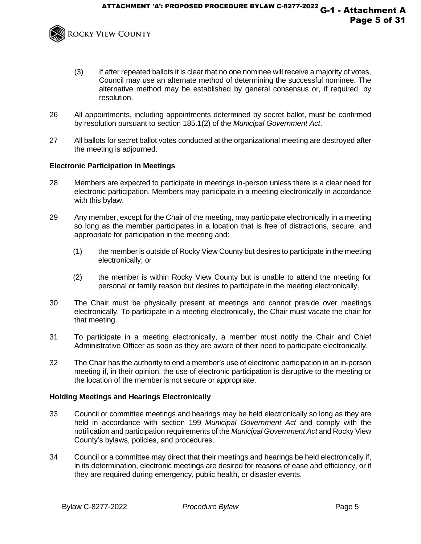

- (3) If after repeated ballots it is clear that no one nominee will receive a majority of votes, Council may use an alternate method of determining the successful nominee. The alternative method may be established by general consensus or, if required, by resolution.
- 26 All appointments, including appointments determined by secret ballot, must be confirmed by resolution pursuant to section 185.1(2) of the *Municipal Government Act*.
- 27 All ballots for secret ballot votes conducted at the organizational meeting are destroyed after the meeting is adjourned.

## **Electronic Participation in Meetings**

- 28 Members are expected to participate in meetings in-person unless there is a clear need for electronic participation. Members may participate in a meeting electronically in accordance with this bylaw.
- 29 Any member, except for the Chair of the meeting, may participate electronically in a meeting so long as the member participates in a location that is free of distractions, secure, and appropriate for participation in the meeting and:
	- (1) the member is outside of Rocky View County but desires to participate in the meeting electronically; or
	- (2) the member is within Rocky View County but is unable to attend the meeting for personal or family reason but desires to participate in the meeting electronically.
- 30 The Chair must be physically present at meetings and cannot preside over meetings electronically. To participate in a meeting electronically, the Chair must vacate the chair for that meeting.
- 31 To participate in a meeting electronically, a member must notify the Chair and Chief Administrative Officer as soon as they are aware of their need to participate electronically.
- 32 The Chair has the authority to end a member's use of electronic participation in an in-person meeting if, in their opinion, the use of electronic participation is disruptive to the meeting or the location of the member is not secure or appropriate.

## **Holding Meetings and Hearings Electronically**

- 33 Council or committee meetings and hearings may be held electronically so long as they are held in accordance with section 199 *Municipal Government Act* and comply with the notification and participation requirements of the *Municipal Government Act* and Rocky View County's bylaws, policies, and procedures.
- 34 Council or a committee may direct that their meetings and hearings be held electronically if, in its determination, electronic meetings are desired for reasons of ease and efficiency, or if they are required during emergency, public health, or disaster events.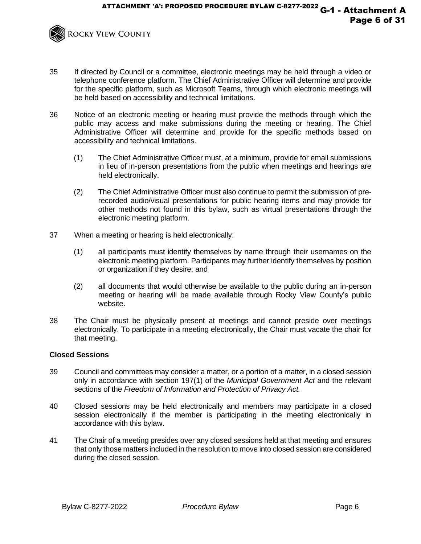

- 35 If directed by Council or a committee, electronic meetings may be held through a video or telephone conference platform. The Chief Administrative Officer will determine and provide for the specific platform, such as Microsoft Teams, through which electronic meetings will be held based on accessibility and technical limitations.
- 36 Notice of an electronic meeting or hearing must provide the methods through which the public may access and make submissions during the meeting or hearing. The Chief Administrative Officer will determine and provide for the specific methods based on accessibility and technical limitations.
	- (1) The Chief Administrative Officer must, at a minimum, provide for email submissions in lieu of in-person presentations from the public when meetings and hearings are held electronically.
	- (2) The Chief Administrative Officer must also continue to permit the submission of prerecorded audio/visual presentations for public hearing items and may provide for other methods not found in this bylaw, such as virtual presentations through the electronic meeting platform.
- 37 When a meeting or hearing is held electronically:
	- (1) all participants must identify themselves by name through their usernames on the electronic meeting platform. Participants may further identify themselves by position or organization if they desire; and
	- (2) all documents that would otherwise be available to the public during an in-person meeting or hearing will be made available through Rocky View County's public website.
- 38 The Chair must be physically present at meetings and cannot preside over meetings electronically. To participate in a meeting electronically, the Chair must vacate the chair for that meeting.

# **Closed Sessions**

- 39 Council and committees may consider a matter, or a portion of a matter, in a closed session only in accordance with section 197(1) of the *Municipal Government Act* and the relevant sections of the *Freedom of Information and Protection of Privacy Act.*
- 40 Closed sessions may be held electronically and members may participate in a closed session electronically if the member is participating in the meeting electronically in accordance with this bylaw.
- 41 The Chair of a meeting presides over any closed sessions held at that meeting and ensures that only those matters included in the resolution to move into closed session are considered during the closed session.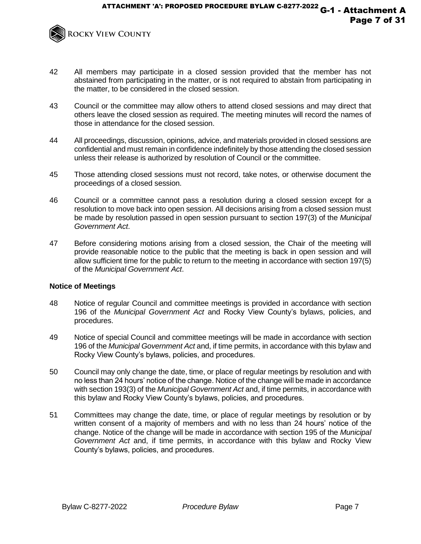

- 42 All members may participate in a closed session provided that the member has not abstained from participating in the matter, or is not required to abstain from participating in the matter, to be considered in the closed session.
- 43 Council or the committee may allow others to attend closed sessions and may direct that others leave the closed session as required. The meeting minutes will record the names of those in attendance for the closed session.
- 44 All proceedings, discussion, opinions, advice, and materials provided in closed sessions are confidential and must remain in confidence indefinitely by those attending the closed session unless their release is authorized by resolution of Council or the committee.
- 45 Those attending closed sessions must not record, take notes, or otherwise document the proceedings of a closed session.
- 46 Council or a committee cannot pass a resolution during a closed session except for a resolution to move back into open session. All decisions arising from a closed session must be made by resolution passed in open session pursuant to section 197(3) of the *Municipal Government Act*.
- 47 Before considering motions arising from a closed session, the Chair of the meeting will provide reasonable notice to the public that the meeting is back in open session and will allow sufficient time for the public to return to the meeting in accordance with section 197(5) of the *Municipal Government Act*.

## **Notice of Meetings**

- 48 Notice of regular Council and committee meetings is provided in accordance with section 196 of the *Municipal Government Act* and Rocky View County's bylaws, policies, and procedures.
- 49 Notice of special Council and committee meetings will be made in accordance with section 196 of the *Municipal Government Act* and, if time permits, in accordance with this bylaw and Rocky View County's bylaws, policies, and procedures.
- 50 Council may only change the date, time, or place of regular meetings by resolution and with no less than 24 hours' notice of the change. Notice of the change will be made in accordance with section 193(3) of the *Municipal Government Act* and, if time permits, in accordance with this bylaw and Rocky View County's bylaws, policies, and procedures.
- 51 Committees may change the date, time, or place of regular meetings by resolution or by written consent of a majority of members and with no less than 24 hours' notice of the change. Notice of the change will be made in accordance with section 195 of the *Municipal Government Act* and, if time permits, in accordance with this bylaw and Rocky View County's bylaws, policies, and procedures.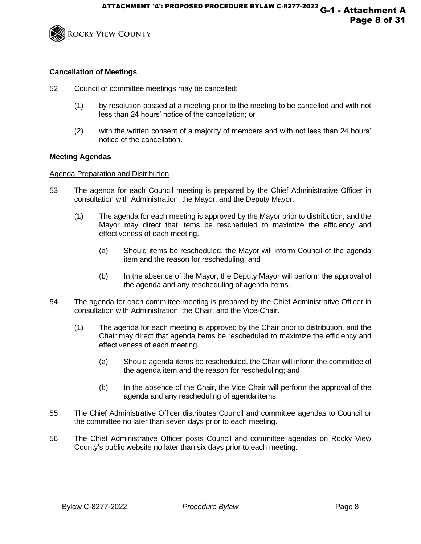

# **Cancellation of Meetings**

- 52 Council or committee meetings may be cancelled:
	- (1) by resolution passed at a meeting prior to the meeting to be cancelled and with not less than 24 hours' notice of the cancellation; or
	- (2) with the written consent of a majority of members and with not less than 24 hours' notice of the cancellation.

## **Meeting Agendas**

## Agenda Preparation and Distribution

- 53 The agenda for each Council meeting is prepared by the Chief Administrative Officer in consultation with Administration, the Mayor, and the Deputy Mayor.
	- (1) The agenda for each meeting is approved by the Mayor prior to distribution, and the Mayor may direct that items be rescheduled to maximize the efficiency and effectiveness of each meeting.
		- (a) Should items be rescheduled, the Mayor will inform Council of the agenda item and the reason for rescheduling; and
		- (b) In the absence of the Mayor, the Deputy Mayor will perform the approval of the agenda and any rescheduling of agenda items.
- 54 The agenda for each committee meeting is prepared by the Chief Administrative Officer in consultation with Administration, the Chair, and the Vice-Chair.
	- (1) The agenda for each meeting is approved by the Chair prior to distribution, and the Chair may direct that agenda items be rescheduled to maximize the efficiency and effectiveness of each meeting.
		- (a) Should agenda items be rescheduled, the Chair will inform the committee of the agenda item and the reason for rescheduling; and
		- (b) In the absence of the Chair, the Vice Chair will perform the approval of the agenda and any rescheduling of agenda items.
- 55 The Chief Administrative Officer distributes Council and committee agendas to Council or the committee no later than seven days prior to each meeting.
- 56 The Chief Administrative Officer posts Council and committee agendas on Rocky View County's public website no later than six days prior to each meeting.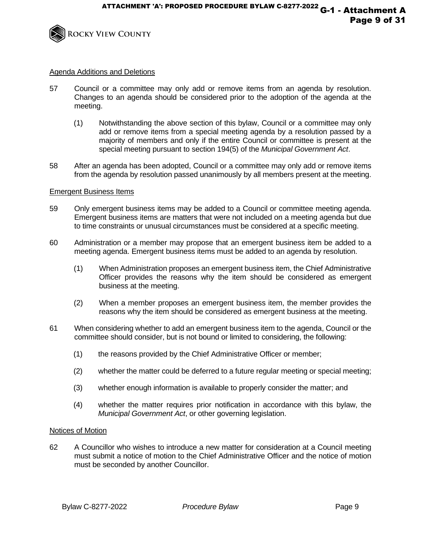

## Agenda Additions and Deletions

- 57 Council or a committee may only add or remove items from an agenda by resolution. Changes to an agenda should be considered prior to the adoption of the agenda at the meeting.
	- (1) Notwithstanding the above section of this bylaw, Council or a committee may only add or remove items from a special meeting agenda by a resolution passed by a majority of members and only if the entire Council or committee is present at the special meeting pursuant to section 194(5) of the *Municipal Government Act*.
- 58 After an agenda has been adopted, Council or a committee may only add or remove items from the agenda by resolution passed unanimously by all members present at the meeting.

## Emergent Business Items

- 59 Only emergent business items may be added to a Council or committee meeting agenda. Emergent business items are matters that were not included on a meeting agenda but due to time constraints or unusual circumstances must be considered at a specific meeting.
- 60 Administration or a member may propose that an emergent business item be added to a meeting agenda. Emergent business items must be added to an agenda by resolution.
	- (1) When Administration proposes an emergent business item, the Chief Administrative Officer provides the reasons why the item should be considered as emergent business at the meeting.
	- (2) When a member proposes an emergent business item, the member provides the reasons why the item should be considered as emergent business at the meeting.
- 61 When considering whether to add an emergent business item to the agenda, Council or the committee should consider, but is not bound or limited to considering, the following:
	- (1) the reasons provided by the Chief Administrative Officer or member;
	- (2) whether the matter could be deferred to a future regular meeting or special meeting;
	- (3) whether enough information is available to properly consider the matter; and
	- (4) whether the matter requires prior notification in accordance with this bylaw, the *Municipal Government Act*, or other governing legislation.

## Notices of Motion

62 A Councillor who wishes to introduce a new matter for consideration at a Council meeting must submit a notice of motion to the Chief Administrative Officer and the notice of motion must be seconded by another Councillor.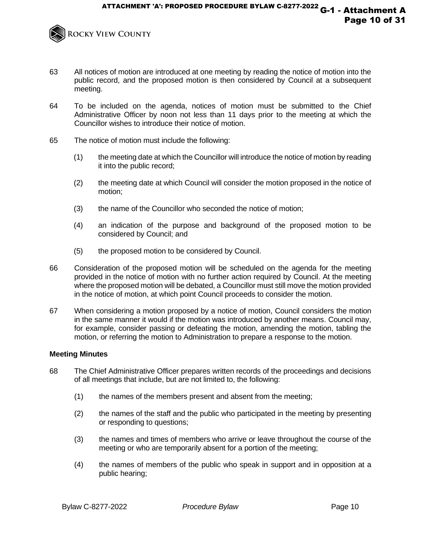

- 63 All notices of motion are introduced at one meeting by reading the notice of motion into the public record, and the proposed motion is then considered by Council at a subsequent meeting.
- 64 To be included on the agenda, notices of motion must be submitted to the Chief Administrative Officer by noon not less than 11 days prior to the meeting at which the Councillor wishes to introduce their notice of motion.
- 65 The notice of motion must include the following:
	- (1) the meeting date at which the Councillor will introduce the notice of motion by reading it into the public record;
	- (2) the meeting date at which Council will consider the motion proposed in the notice of motion;
	- (3) the name of the Councillor who seconded the notice of motion;
	- (4) an indication of the purpose and background of the proposed motion to be considered by Council; and
	- (5) the proposed motion to be considered by Council.
- 66 Consideration of the proposed motion will be scheduled on the agenda for the meeting provided in the notice of motion with no further action required by Council. At the meeting where the proposed motion will be debated, a Councillor must still move the motion provided in the notice of motion, at which point Council proceeds to consider the motion.
- 67 When considering a motion proposed by a notice of motion, Council considers the motion in the same manner it would if the motion was introduced by another means. Council may, for example, consider passing or defeating the motion, amending the motion, tabling the motion, or referring the motion to Administration to prepare a response to the motion.

## **Meeting Minutes**

- 68 The Chief Administrative Officer prepares written records of the proceedings and decisions of all meetings that include, but are not limited to, the following:
	- (1) the names of the members present and absent from the meeting;
	- (2) the names of the staff and the public who participated in the meeting by presenting or responding to questions;
	- (3) the names and times of members who arrive or leave throughout the course of the meeting or who are temporarily absent for a portion of the meeting;
	- (4) the names of members of the public who speak in support and in opposition at a public hearing;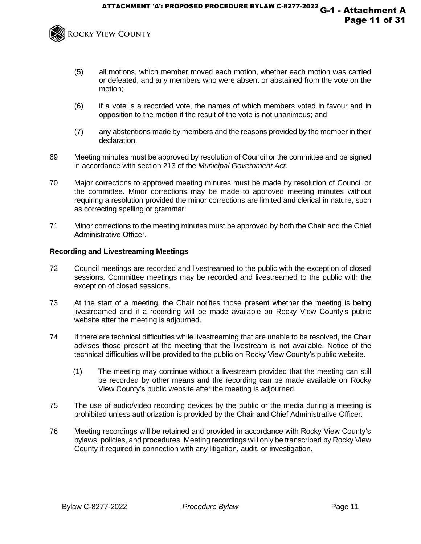

- (5) all motions, which member moved each motion, whether each motion was carried or defeated, and any members who were absent or abstained from the vote on the motion;
- (6) if a vote is a recorded vote, the names of which members voted in favour and in opposition to the motion if the result of the vote is not unanimous; and
- (7) any abstentions made by members and the reasons provided by the member in their declaration.
- 69 Meeting minutes must be approved by resolution of Council or the committee and be signed in accordance with section 213 of the *Municipal Government Act*.
- 70 Major corrections to approved meeting minutes must be made by resolution of Council or the committee. Minor corrections may be made to approved meeting minutes without requiring a resolution provided the minor corrections are limited and clerical in nature, such as correcting spelling or grammar.
- 71 Minor corrections to the meeting minutes must be approved by both the Chair and the Chief Administrative Officer.

## **Recording and Livestreaming Meetings**

- 72 Council meetings are recorded and livestreamed to the public with the exception of closed sessions. Committee meetings may be recorded and livestreamed to the public with the exception of closed sessions.
- 73 At the start of a meeting, the Chair notifies those present whether the meeting is being livestreamed and if a recording will be made available on Rocky View County's public website after the meeting is adjourned.
- 74 If there are technical difficulties while livestreaming that are unable to be resolved, the Chair advises those present at the meeting that the livestream is not available. Notice of the technical difficulties will be provided to the public on Rocky View County's public website.
	- (1) The meeting may continue without a livestream provided that the meeting can still be recorded by other means and the recording can be made available on Rocky View County's public website after the meeting is adjourned.
- 75 The use of audio/video recording devices by the public or the media during a meeting is prohibited unless authorization is provided by the Chair and Chief Administrative Officer.
- 76 Meeting recordings will be retained and provided in accordance with Rocky View County's bylaws, policies, and procedures. Meeting recordings will only be transcribed by Rocky View County if required in connection with any litigation, audit, or investigation.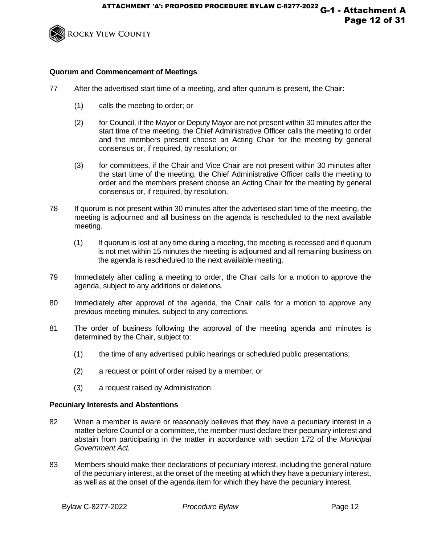

# **Quorum and Commencement of Meetings**

- 77 After the advertised start time of a meeting, and after quorum is present, the Chair:
	- (1) calls the meeting to order; or
	- (2) for Council, if the Mayor or Deputy Mayor are not present within 30 minutes after the start time of the meeting, the Chief Administrative Officer calls the meeting to order and the members present choose an Acting Chair for the meeting by general consensus or, if required, by resolution; or
	- (3) for committees, if the Chair and Vice Chair are not present within 30 minutes after the start time of the meeting, the Chief Administrative Officer calls the meeting to order and the members present choose an Acting Chair for the meeting by general consensus or, if required, by resolution.
- 78 If quorum is not present within 30 minutes after the advertised start time of the meeting, the meeting is adjourned and all business on the agenda is rescheduled to the next available meeting.
	- (1) If quorum is lost at any time during a meeting, the meeting is recessed and if quorum is not met within 15 minutes the meeting is adjourned and all remaining business on the agenda is rescheduled to the next available meeting.
- 79 Immediately after calling a meeting to order, the Chair calls for a motion to approve the agenda, subject to any additions or deletions.
- 80 Immediately after approval of the agenda, the Chair calls for a motion to approve any previous meeting minutes, subject to any corrections.
- 81 The order of business following the approval of the meeting agenda and minutes is determined by the Chair, subject to:
	- (1) the time of any advertised public hearings or scheduled public presentations;
	- (2) a request or point of order raised by a member; or
	- (3) a request raised by Administration.

# **Pecuniary Interests and Abstentions**

- 82 When a member is aware or reasonably believes that they have a pecuniary interest in a matter before Council or a committee, the member must declare their pecuniary interest and abstain from participating in the matter in accordance with section 172 of the *Municipal Government Act.*
- 83 Members should make their declarations of pecuniary interest, including the general nature of the pecuniary interest, at the onset of the meeting at which they have a pecuniary interest, as well as at the onset of the agenda item for which they have the pecuniary interest.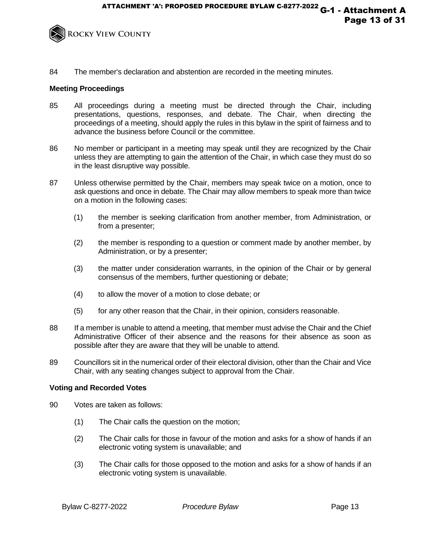

84 The member's declaration and abstention are recorded in the meeting minutes.

# **Meeting Proceedings**

- 85 All proceedings during a meeting must be directed through the Chair, including presentations, questions, responses, and debate. The Chair, when directing the proceedings of a meeting, should apply the rules in this bylaw in the spirit of fairness and to advance the business before Council or the committee.
- 86 No member or participant in a meeting may speak until they are recognized by the Chair unless they are attempting to gain the attention of the Chair, in which case they must do so in the least disruptive way possible.
- 87 Unless otherwise permitted by the Chair, members may speak twice on a motion, once to ask questions and once in debate. The Chair may allow members to speak more than twice on a motion in the following cases:
	- (1) the member is seeking clarification from another member, from Administration, or from a presenter;
	- (2) the member is responding to a question or comment made by another member, by Administration, or by a presenter;
	- (3) the matter under consideration warrants, in the opinion of the Chair or by general consensus of the members, further questioning or debate;
	- (4) to allow the mover of a motion to close debate; or
	- (5) for any other reason that the Chair, in their opinion, considers reasonable.
- 88 If a member is unable to attend a meeting, that member must advise the Chair and the Chief Administrative Officer of their absence and the reasons for their absence as soon as possible after they are aware that they will be unable to attend.
- 89 Councillors sit in the numerical order of their electoral division, other than the Chair and Vice Chair, with any seating changes subject to approval from the Chair.

## **Voting and Recorded Votes**

- 90 Votes are taken as follows:
	- (1) The Chair calls the question on the motion;
	- (2) The Chair calls for those in favour of the motion and asks for a show of hands if an electronic voting system is unavailable; and
	- (3) The Chair calls for those opposed to the motion and asks for a show of hands if an electronic voting system is unavailable.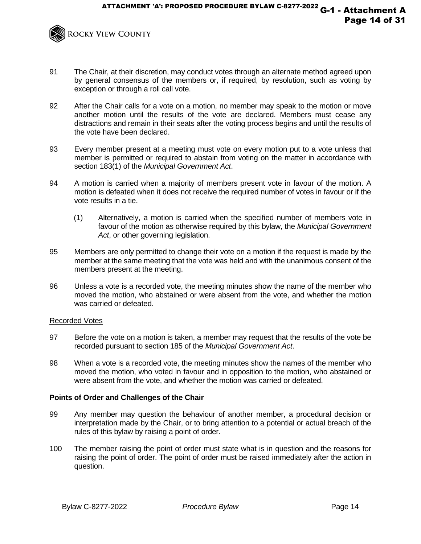

- 91 The Chair, at their discretion, may conduct votes through an alternate method agreed upon by general consensus of the members or, if required, by resolution, such as voting by exception or through a roll call vote.
- 92 After the Chair calls for a vote on a motion, no member may speak to the motion or move another motion until the results of the vote are declared. Members must cease any distractions and remain in their seats after the voting process begins and until the results of the vote have been declared.
- 93 Every member present at a meeting must vote on every motion put to a vote unless that member is permitted or required to abstain from voting on the matter in accordance with section 183(1) of the *Municipal Government Act*.
- 94 A motion is carried when a majority of members present vote in favour of the motion. A motion is defeated when it does not receive the required number of votes in favour or if the vote results in a tie.
	- (1) Alternatively, a motion is carried when the specified number of members vote in favour of the motion as otherwise required by this bylaw, the *Municipal Government Act*, or other governing legislation.
- 95 Members are only permitted to change their vote on a motion if the request is made by the member at the same meeting that the vote was held and with the unanimous consent of the members present at the meeting.
- 96 Unless a vote is a recorded vote, the meeting minutes show the name of the member who moved the motion, who abstained or were absent from the vote, and whether the motion was carried or defeated.

# Recorded Votes

- 97 Before the vote on a motion is taken, a member may request that the results of the vote be recorded pursuant to section 185 of the *Municipal Government Act*.
- 98 When a vote is a recorded vote, the meeting minutes show the names of the member who moved the motion, who voted in favour and in opposition to the motion, who abstained or were absent from the vote, and whether the motion was carried or defeated.

# **Points of Order and Challenges of the Chair**

- 99 Any member may question the behaviour of another member, a procedural decision or interpretation made by the Chair, or to bring attention to a potential or actual breach of the rules of this bylaw by raising a point of order.
- 100 The member raising the point of order must state what is in question and the reasons for raising the point of order. The point of order must be raised immediately after the action in question.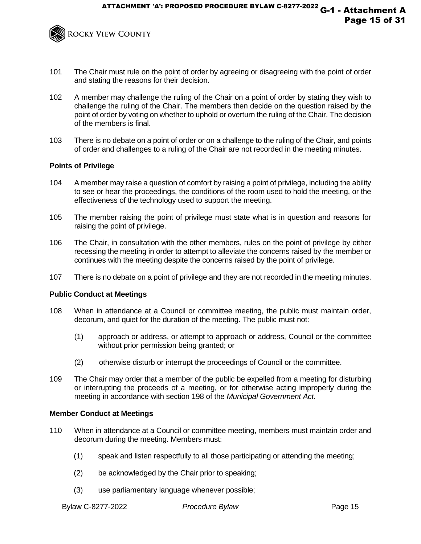

- 101 The Chair must rule on the point of order by agreeing or disagreeing with the point of order and stating the reasons for their decision.
- 102 A member may challenge the ruling of the Chair on a point of order by stating they wish to challenge the ruling of the Chair. The members then decide on the question raised by the point of order by voting on whether to uphold or overturn the ruling of the Chair. The decision of the members is final.
- 103 There is no debate on a point of order or on a challenge to the ruling of the Chair, and points of order and challenges to a ruling of the Chair are not recorded in the meeting minutes.

## **Points of Privilege**

- 104 A member may raise a question of comfort by raising a point of privilege, including the ability to see or hear the proceedings, the conditions of the room used to hold the meeting, or the effectiveness of the technology used to support the meeting.
- 105 The member raising the point of privilege must state what is in question and reasons for raising the point of privilege.
- 106 The Chair, in consultation with the other members, rules on the point of privilege by either recessing the meeting in order to attempt to alleviate the concerns raised by the member or continues with the meeting despite the concerns raised by the point of privilege.
- 107 There is no debate on a point of privilege and they are not recorded in the meeting minutes.

## **Public Conduct at Meetings**

- 108 When in attendance at a Council or committee meeting, the public must maintain order, decorum, and quiet for the duration of the meeting. The public must not:
	- (1) approach or address, or attempt to approach or address, Council or the committee without prior permission being granted; or
	- (2) otherwise disturb or interrupt the proceedings of Council or the committee.
- 109 The Chair may order that a member of the public be expelled from a meeting for disturbing or interrupting the proceeds of a meeting, or for otherwise acting improperly during the meeting in accordance with section 198 of the *Municipal Government Act.*

## **Member Conduct at Meetings**

- 110 When in attendance at a Council or committee meeting, members must maintain order and decorum during the meeting. Members must:
	- (1) speak and listen respectfully to all those participating or attending the meeting;
	- (2) be acknowledged by the Chair prior to speaking;
	- (3) use parliamentary language whenever possible;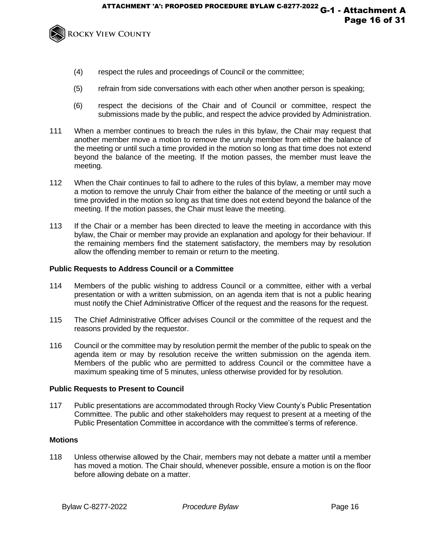

- (4) respect the rules and proceedings of Council or the committee;
- (5) refrain from side conversations with each other when another person is speaking;
- (6) respect the decisions of the Chair and of Council or committee, respect the submissions made by the public, and respect the advice provided by Administration.
- 111 When a member continues to breach the rules in this bylaw, the Chair may request that another member move a motion to remove the unruly member from either the balance of the meeting or until such a time provided in the motion so long as that time does not extend beyond the balance of the meeting. If the motion passes, the member must leave the meeting.
- 112 When the Chair continues to fail to adhere to the rules of this bylaw, a member may move a motion to remove the unruly Chair from either the balance of the meeting or until such a time provided in the motion so long as that time does not extend beyond the balance of the meeting. If the motion passes, the Chair must leave the meeting.
- 113 If the Chair or a member has been directed to leave the meeting in accordance with this bylaw, the Chair or member may provide an explanation and apology for their behaviour. If the remaining members find the statement satisfactory, the members may by resolution allow the offending member to remain or return to the meeting.

# **Public Requests to Address Council or a Committee**

- 114 Members of the public wishing to address Council or a committee, either with a verbal presentation or with a written submission, on an agenda item that is not a public hearing must notify the Chief Administrative Officer of the request and the reasons for the request.
- 115 The Chief Administrative Officer advises Council or the committee of the request and the reasons provided by the requestor.
- 116 Council or the committee may by resolution permit the member of the public to speak on the agenda item or may by resolution receive the written submission on the agenda item. Members of the public who are permitted to address Council or the committee have a maximum speaking time of 5 minutes, unless otherwise provided for by resolution.

# **Public Requests to Present to Council**

117 Public presentations are accommodated through Rocky View County's Public Presentation Committee. The public and other stakeholders may request to present at a meeting of the Public Presentation Committee in accordance with the committee's terms of reference.

# **Motions**

118 Unless otherwise allowed by the Chair, members may not debate a matter until a member has moved a motion. The Chair should, whenever possible, ensure a motion is on the floor before allowing debate on a matter.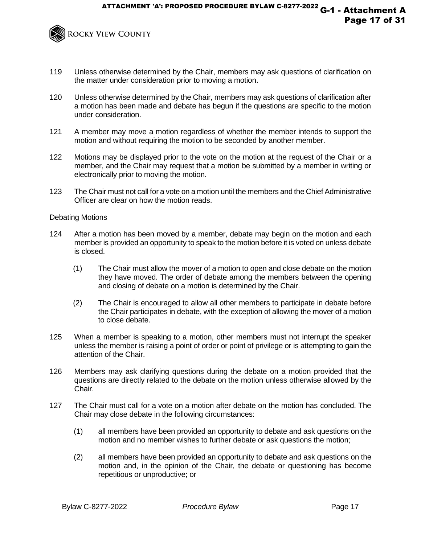

- 119 Unless otherwise determined by the Chair, members may ask questions of clarification on the matter under consideration prior to moving a motion.
- 120 Unless otherwise determined by the Chair, members may ask questions of clarification after a motion has been made and debate has begun if the questions are specific to the motion under consideration.
- 121 A member may move a motion regardless of whether the member intends to support the motion and without requiring the motion to be seconded by another member.
- 122 Motions may be displayed prior to the vote on the motion at the request of the Chair or a member, and the Chair may request that a motion be submitted by a member in writing or electronically prior to moving the motion.
- 123 The Chair must not call for a vote on a motion until the members and the Chief Administrative Officer are clear on how the motion reads.

## Debating Motions

- 124 After a motion has been moved by a member, debate may begin on the motion and each member is provided an opportunity to speak to the motion before it is voted on unless debate is closed.
	- (1) The Chair must allow the mover of a motion to open and close debate on the motion they have moved. The order of debate among the members between the opening and closing of debate on a motion is determined by the Chair.
	- (2) The Chair is encouraged to allow all other members to participate in debate before the Chair participates in debate, with the exception of allowing the mover of a motion to close debate.
- 125 When a member is speaking to a motion, other members must not interrupt the speaker unless the member is raising a point of order or point of privilege or is attempting to gain the attention of the Chair.
- 126 Members may ask clarifying questions during the debate on a motion provided that the questions are directly related to the debate on the motion unless otherwise allowed by the Chair.
- 127 The Chair must call for a vote on a motion after debate on the motion has concluded. The Chair may close debate in the following circumstances:
	- (1) all members have been provided an opportunity to debate and ask questions on the motion and no member wishes to further debate or ask questions the motion;
	- (2) all members have been provided an opportunity to debate and ask questions on the motion and, in the opinion of the Chair, the debate or questioning has become repetitious or unproductive; or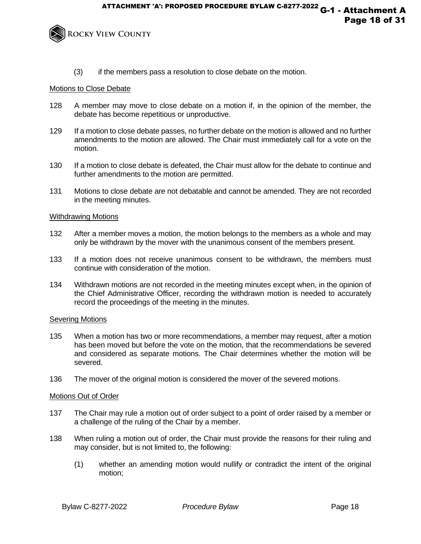

(3) if the members pass a resolution to close debate on the motion.

## Motions to Close Debate

- 128 A member may move to close debate on a motion if, in the opinion of the member, the debate has become repetitious or unproductive.
- 129 If a motion to close debate passes, no further debate on the motion is allowed and no further amendments to the motion are allowed. The Chair must immediately call for a vote on the motion.
- 130 If a motion to close debate is defeated, the Chair must allow for the debate to continue and further amendments to the motion are permitted.
- 131 Motions to close debate are not debatable and cannot be amended. They are not recorded in the meeting minutes.

## Withdrawing Motions

- 132 After a member moves a motion, the motion belongs to the members as a whole and may only be withdrawn by the mover with the unanimous consent of the members present.
- 133 If a motion does not receive unanimous consent to be withdrawn, the members must continue with consideration of the motion.
- 134 Withdrawn motions are not recorded in the meeting minutes except when, in the opinion of the Chief Administrative Officer, recording the withdrawn motion is needed to accurately record the proceedings of the meeting in the minutes.

## Severing Motions

- 135 When a motion has two or more recommendations, a member may request, after a motion has been moved but before the vote on the motion, that the recommendations be severed and considered as separate motions. The Chair determines whether the motion will be severed.
- 136 The mover of the original motion is considered the mover of the severed motions.

# Motions Out of Order

- 137 The Chair may rule a motion out of order subject to a point of order raised by a member or a challenge of the ruling of the Chair by a member.
- 138 When ruling a motion out of order, the Chair must provide the reasons for their ruling and may consider, but is not limited to, the following:
	- (1) whether an amending motion would nullify or contradict the intent of the original motion;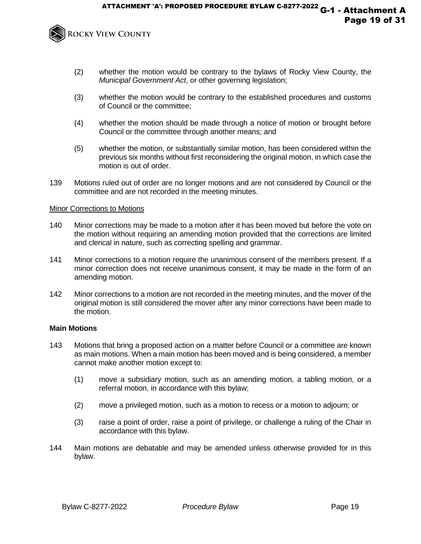

- (2) whether the motion would be contrary to the bylaws of Rocky View County, the *Municipal Government Act*, or other governing legislation;
- (3) whether the motion would be contrary to the established procedures and customs of Council or the committee;
- (4) whether the motion should be made through a notice of motion or brought before Council or the committee through another means; and
- (5) whether the motion, or substantially similar motion, has been considered within the previous six months without first reconsidering the original motion, in which case the motion is out of order.
- 139 Motions ruled out of order are no longer motions and are not considered by Council or the committee and are not recorded in the meeting minutes.

## Minor Corrections to Motions

- 140 Minor corrections may be made to a motion after it has been moved but before the vote on the motion without requiring an amending motion provided that the corrections are limited and clerical in nature, such as correcting spelling and grammar.
- 141 Minor corrections to a motion require the unanimous consent of the members present. If a minor correction does not receive unanimous consent, it may be made in the form of an amending motion.
- 142 Minor corrections to a motion are not recorded in the meeting minutes, and the mover of the original motion is still considered the mover after any minor corrections have been made to the motion.

## **Main Motions**

- 143 Motions that bring a proposed action on a matter before Council or a committee are known as main motions. When a main motion has been moved and is being considered, a member cannot make another motion except to:
	- (1) move a subsidiary motion, such as an amending motion, a tabling motion, or a referral motion, in accordance with this bylaw;
	- (2) move a privileged motion, such as a motion to recess or a motion to adjourn; or
	- (3) raise a point of order, raise a point of privilege, or challenge a ruling of the Chair in accordance with this bylaw.
- 144 Main motions are debatable and may be amended unless otherwise provided for in this bylaw.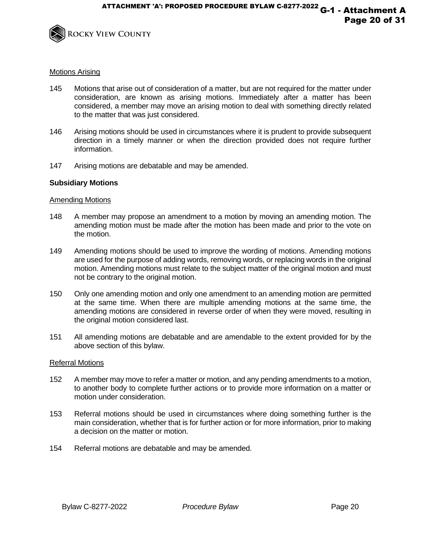

## Motions Arising

- 145 Motions that arise out of consideration of a matter, but are not required for the matter under consideration, are known as arising motions. Immediately after a matter has been considered, a member may move an arising motion to deal with something directly related to the matter that was just considered.
- 146 Arising motions should be used in circumstances where it is prudent to provide subsequent direction in a timely manner or when the direction provided does not require further information.
- 147 Arising motions are debatable and may be amended.

## **Subsidiary Motions**

#### Amending Motions

- 148 A member may propose an amendment to a motion by moving an amending motion. The amending motion must be made after the motion has been made and prior to the vote on the motion.
- 149 Amending motions should be used to improve the wording of motions. Amending motions are used for the purpose of adding words, removing words, or replacing words in the original motion. Amending motions must relate to the subject matter of the original motion and must not be contrary to the original motion.
- 150 Only one amending motion and only one amendment to an amending motion are permitted at the same time. When there are multiple amending motions at the same time, the amending motions are considered in reverse order of when they were moved, resulting in the original motion considered last.
- 151 All amending motions are debatable and are amendable to the extent provided for by the above section of this bylaw.

#### Referral Motions

- 152 A member may move to refer a matter or motion, and any pending amendments to a motion, to another body to complete further actions or to provide more information on a matter or motion under consideration.
- 153 Referral motions should be used in circumstances where doing something further is the main consideration, whether that is for further action or for more information, prior to making a decision on the matter or motion.
- 154 Referral motions are debatable and may be amended.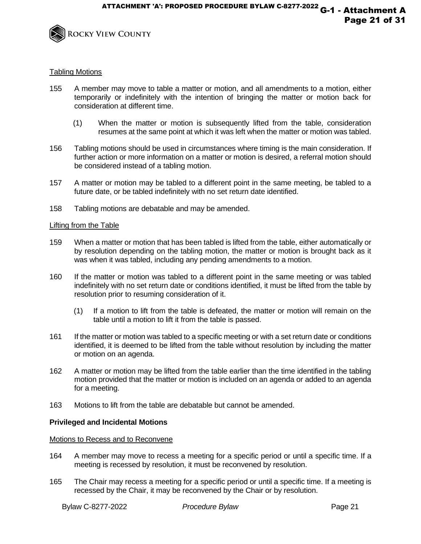

## Tabling Motions

- 155 A member may move to table a matter or motion, and all amendments to a motion, either temporarily or indefinitely with the intention of bringing the matter or motion back for consideration at different time.
	- (1) When the matter or motion is subsequently lifted from the table, consideration resumes at the same point at which it was left when the matter or motion was tabled.
- 156 Tabling motions should be used in circumstances where timing is the main consideration. If further action or more information on a matter or motion is desired, a referral motion should be considered instead of a tabling motion.
- 157 A matter or motion may be tabled to a different point in the same meeting, be tabled to a future date, or be tabled indefinitely with no set return date identified.
- 158 Tabling motions are debatable and may be amended.

## Lifting from the Table

- 159 When a matter or motion that has been tabled is lifted from the table, either automatically or by resolution depending on the tabling motion, the matter or motion is brought back as it was when it was tabled, including any pending amendments to a motion.
- 160 If the matter or motion was tabled to a different point in the same meeting or was tabled indefinitely with no set return date or conditions identified, it must be lifted from the table by resolution prior to resuming consideration of it.
	- (1) If a motion to lift from the table is defeated, the matter or motion will remain on the table until a motion to lift it from the table is passed.
- 161 If the matter or motion was tabled to a specific meeting or with a set return date or conditions identified, it is deemed to be lifted from the table without resolution by including the matter or motion on an agenda.
- 162 A matter or motion may be lifted from the table earlier than the time identified in the tabling motion provided that the matter or motion is included on an agenda or added to an agenda for a meeting.
- 163 Motions to lift from the table are debatable but cannot be amended.

# **Privileged and Incidental Motions**

## Motions to Recess and to Reconvene

- 164 A member may move to recess a meeting for a specific period or until a specific time. If a meeting is recessed by resolution, it must be reconvened by resolution.
- 165 The Chair may recess a meeting for a specific period or until a specific time. If a meeting is recessed by the Chair, it may be reconvened by the Chair or by resolution.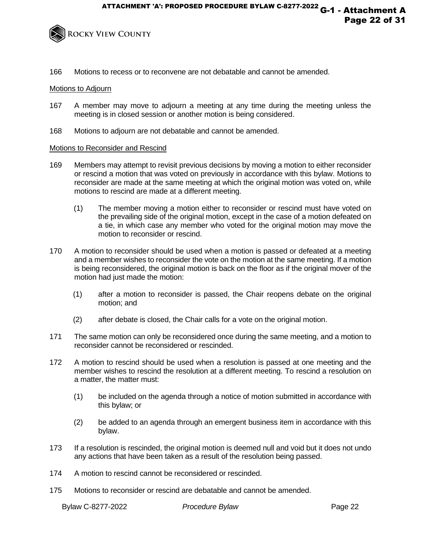

166 Motions to recess or to reconvene are not debatable and cannot be amended.

## Motions to Adjourn

- 167 A member may move to adjourn a meeting at any time during the meeting unless the meeting is in closed session or another motion is being considered.
- 168 Motions to adjourn are not debatable and cannot be amended.

## Motions to Reconsider and Rescind

- 169 Members may attempt to revisit previous decisions by moving a motion to either reconsider or rescind a motion that was voted on previously in accordance with this bylaw. Motions to reconsider are made at the same meeting at which the original motion was voted on, while motions to rescind are made at a different meeting.
	- (1) The member moving a motion either to reconsider or rescind must have voted on the prevailing side of the original motion, except in the case of a motion defeated on a tie, in which case any member who voted for the original motion may move the motion to reconsider or rescind.
- 170 A motion to reconsider should be used when a motion is passed or defeated at a meeting and a member wishes to reconsider the vote on the motion at the same meeting. If a motion is being reconsidered, the original motion is back on the floor as if the original mover of the motion had just made the motion:
	- (1) after a motion to reconsider is passed, the Chair reopens debate on the original motion; and
	- (2) after debate is closed, the Chair calls for a vote on the original motion.
- 171 The same motion can only be reconsidered once during the same meeting, and a motion to reconsider cannot be reconsidered or rescinded.
- 172 A motion to rescind should be used when a resolution is passed at one meeting and the member wishes to rescind the resolution at a different meeting. To rescind a resolution on a matter, the matter must:
	- (1) be included on the agenda through a notice of motion submitted in accordance with this bylaw; or
	- (2) be added to an agenda through an emergent business item in accordance with this bylaw.
- 173 If a resolution is rescinded, the original motion is deemed null and void but it does not undo any actions that have been taken as a result of the resolution being passed.
- 174 A motion to rescind cannot be reconsidered or rescinded.
- 175 Motions to reconsider or rescind are debatable and cannot be amended.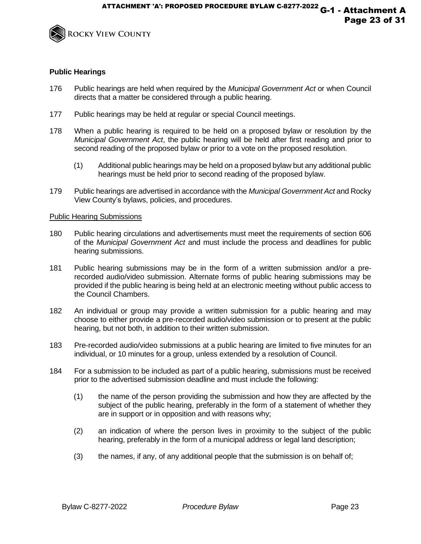

## **Public Hearings**

- 176 Public hearings are held when required by the *Municipal Government Act* or when Council directs that a matter be considered through a public hearing.
- 177 Public hearings may be held at regular or special Council meetings.
- 178 When a public hearing is required to be held on a proposed bylaw or resolution by the *Municipal Government Act*, the public hearing will be held after first reading and prior to second reading of the proposed bylaw or prior to a vote on the proposed resolution.
	- (1) Additional public hearings may be held on a proposed bylaw but any additional public hearings must be held prior to second reading of the proposed bylaw.
- 179 Public hearings are advertised in accordance with the *Municipal Government Act* and Rocky View County's bylaws, policies, and procedures.

## Public Hearing Submissions

- 180 Public hearing circulations and advertisements must meet the requirements of section 606 of the *Municipal Government Act* and must include the process and deadlines for public hearing submissions.
- 181 Public hearing submissions may be in the form of a written submission and/or a prerecorded audio/video submission. Alternate forms of public hearing submissions may be provided if the public hearing is being held at an electronic meeting without public access to the Council Chambers.
- 182 An individual or group may provide a written submission for a public hearing and may choose to either provide a pre-recorded audio/video submission or to present at the public hearing, but not both, in addition to their written submission.
- 183 Pre-recorded audio/video submissions at a public hearing are limited to five minutes for an individual, or 10 minutes for a group, unless extended by a resolution of Council.
- 184 For a submission to be included as part of a public hearing, submissions must be received prior to the advertised submission deadline and must include the following:
	- (1) the name of the person providing the submission and how they are affected by the subject of the public hearing, preferably in the form of a statement of whether they are in support or in opposition and with reasons why;
	- (2) an indication of where the person lives in proximity to the subject of the public hearing, preferably in the form of a municipal address or legal land description;
	- (3) the names, if any, of any additional people that the submission is on behalf of;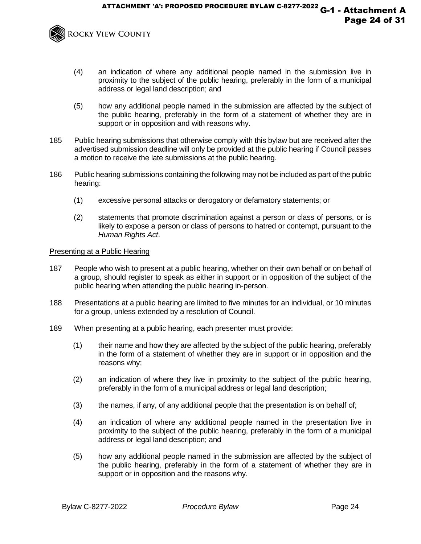

- (4) an indication of where any additional people named in the submission live in proximity to the subject of the public hearing, preferably in the form of a municipal address or legal land description; and
- (5) how any additional people named in the submission are affected by the subject of the public hearing, preferably in the form of a statement of whether they are in support or in opposition and with reasons why.
- 185 Public hearing submissions that otherwise comply with this bylaw but are received after the advertised submission deadline will only be provided at the public hearing if Council passes a motion to receive the late submissions at the public hearing.
- 186 Public hearing submissions containing the following may not be included as part of the public hearing:
	- (1) excessive personal attacks or derogatory or defamatory statements; or
	- (2) statements that promote discrimination against a person or class of persons, or is likely to expose a person or class of persons to hatred or contempt, pursuant to the *Human Rights Act*.

## Presenting at a Public Hearing

- 187 People who wish to present at a public hearing, whether on their own behalf or on behalf of a group, should register to speak as either in support or in opposition of the subject of the public hearing when attending the public hearing in-person.
- 188 Presentations at a public hearing are limited to five minutes for an individual, or 10 minutes for a group, unless extended by a resolution of Council.
- 189 When presenting at a public hearing, each presenter must provide:
	- (1) their name and how they are affected by the subject of the public hearing, preferably in the form of a statement of whether they are in support or in opposition and the reasons why;
	- (2) an indication of where they live in proximity to the subject of the public hearing, preferably in the form of a municipal address or legal land description;
	- (3) the names, if any, of any additional people that the presentation is on behalf of;
	- (4) an indication of where any additional people named in the presentation live in proximity to the subject of the public hearing, preferably in the form of a municipal address or legal land description; and
	- (5) how any additional people named in the submission are affected by the subject of the public hearing, preferably in the form of a statement of whether they are in support or in opposition and the reasons why.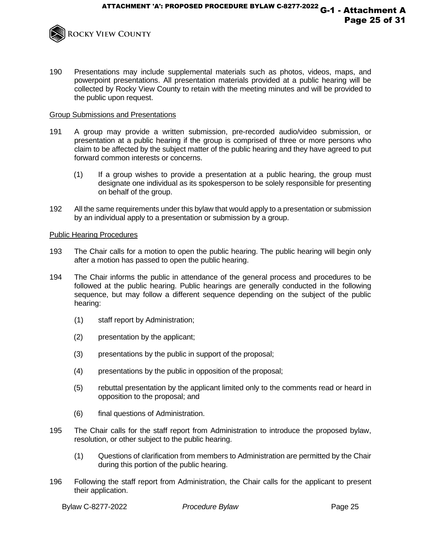

190 Presentations may include supplemental materials such as photos, videos, maps, and powerpoint presentations. All presentation materials provided at a public hearing will be collected by Rocky View County to retain with the meeting minutes and will be provided to the public upon request.

## Group Submissions and Presentations

- 191 A group may provide a written submission, pre-recorded audio/video submission, or presentation at a public hearing if the group is comprised of three or more persons who claim to be affected by the subject matter of the public hearing and they have agreed to put forward common interests or concerns.
	- (1) If a group wishes to provide a presentation at a public hearing, the group must designate one individual as its spokesperson to be solely responsible for presenting on behalf of the group.
- 192 All the same requirements under this bylaw that would apply to a presentation or submission by an individual apply to a presentation or submission by a group.

## Public Hearing Procedures

- 193 The Chair calls for a motion to open the public hearing. The public hearing will begin only after a motion has passed to open the public hearing.
- 194 The Chair informs the public in attendance of the general process and procedures to be followed at the public hearing. Public hearings are generally conducted in the following sequence, but may follow a different sequence depending on the subject of the public hearing:
	- (1) staff report by Administration;
	- (2) presentation by the applicant;
	- (3) presentations by the public in support of the proposal;
	- (4) presentations by the public in opposition of the proposal;
	- (5) rebuttal presentation by the applicant limited only to the comments read or heard in opposition to the proposal; and
	- (6) final questions of Administration.
- 195 The Chair calls for the staff report from Administration to introduce the proposed bylaw, resolution, or other subject to the public hearing.
	- (1) Questions of clarification from members to Administration are permitted by the Chair during this portion of the public hearing.
- 196 Following the staff report from Administration, the Chair calls for the applicant to present their application.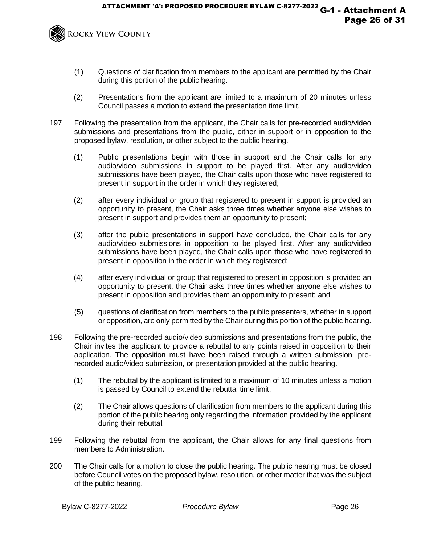

- (1) Questions of clarification from members to the applicant are permitted by the Chair during this portion of the public hearing.
- (2) Presentations from the applicant are limited to a maximum of 20 minutes unless Council passes a motion to extend the presentation time limit.
- 197 Following the presentation from the applicant, the Chair calls for pre-recorded audio/video submissions and presentations from the public, either in support or in opposition to the proposed bylaw, resolution, or other subject to the public hearing.
	- (1) Public presentations begin with those in support and the Chair calls for any audio/video submissions in support to be played first. After any audio/video submissions have been played, the Chair calls upon those who have registered to present in support in the order in which they registered;
	- (2) after every individual or group that registered to present in support is provided an opportunity to present, the Chair asks three times whether anyone else wishes to present in support and provides them an opportunity to present;
	- (3) after the public presentations in support have concluded, the Chair calls for any audio/video submissions in opposition to be played first. After any audio/video submissions have been played, the Chair calls upon those who have registered to present in opposition in the order in which they registered;
	- (4) after every individual or group that registered to present in opposition is provided an opportunity to present, the Chair asks three times whether anyone else wishes to present in opposition and provides them an opportunity to present; and
	- (5) questions of clarification from members to the public presenters, whether in support or opposition, are only permitted by the Chair during this portion of the public hearing.
- 198 Following the pre-recorded audio/video submissions and presentations from the public, the Chair invites the applicant to provide a rebuttal to any points raised in opposition to their application. The opposition must have been raised through a written submission, prerecorded audio/video submission, or presentation provided at the public hearing.
	- (1) The rebuttal by the applicant is limited to a maximum of 10 minutes unless a motion is passed by Council to extend the rebuttal time limit.
	- (2) The Chair allows questions of clarification from members to the applicant during this portion of the public hearing only regarding the information provided by the applicant during their rebuttal.
- 199 Following the rebuttal from the applicant, the Chair allows for any final questions from members to Administration.
- 200 The Chair calls for a motion to close the public hearing. The public hearing must be closed before Council votes on the proposed bylaw, resolution, or other matter that was the subject of the public hearing.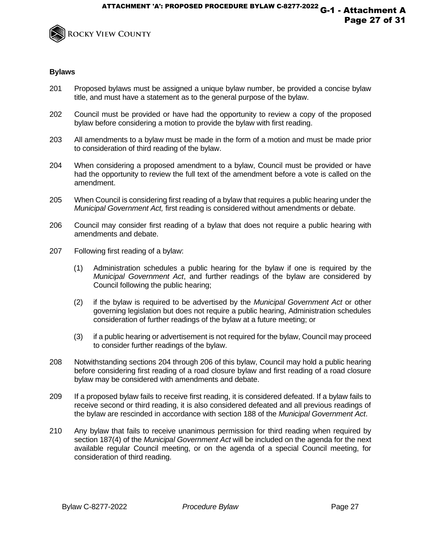

- 201 Proposed bylaws must be assigned a unique bylaw number, be provided a concise bylaw title, and must have a statement as to the general purpose of the bylaw.
- 202 Council must be provided or have had the opportunity to review a copy of the proposed bylaw before considering a motion to provide the bylaw with first reading.
- 203 All amendments to a bylaw must be made in the form of a motion and must be made prior to consideration of third reading of the bylaw.
- 204 When considering a proposed amendment to a bylaw, Council must be provided or have had the opportunity to review the full text of the amendment before a vote is called on the amendment.
- 205 When Council is considering first reading of a bylaw that requires a public hearing under the *Municipal Government Act,* first reading is considered without amendments or debate.
- 206 Council may consider first reading of a bylaw that does not require a public hearing with amendments and debate.
- 207 Following first reading of a bylaw:
	- (1) Administration schedules a public hearing for the bylaw if one is required by the *Municipal Government Act*, and further readings of the bylaw are considered by Council following the public hearing;
	- (2) if the bylaw is required to be advertised by the *Municipal Government Act* or other governing legislation but does not require a public hearing, Administration schedules consideration of further readings of the bylaw at a future meeting; or
	- (3) if a public hearing or advertisement is not required for the bylaw, Council may proceed to consider further readings of the bylaw.
- 208 Notwithstanding sections 204 through 206 of this bylaw, Council may hold a public hearing before considering first reading of a road closure bylaw and first reading of a road closure bylaw may be considered with amendments and debate.
- 209 If a proposed bylaw fails to receive first reading, it is considered defeated. If a bylaw fails to receive second or third reading, it is also considered defeated and all previous readings of the bylaw are rescinded in accordance with section 188 of the *Municipal Government Act*.
- 210 Any bylaw that fails to receive unanimous permission for third reading when required by section 187(4) of the *Municipal Government Act* will be included on the agenda for the next available regular Council meeting, or on the agenda of a special Council meeting, for consideration of third reading.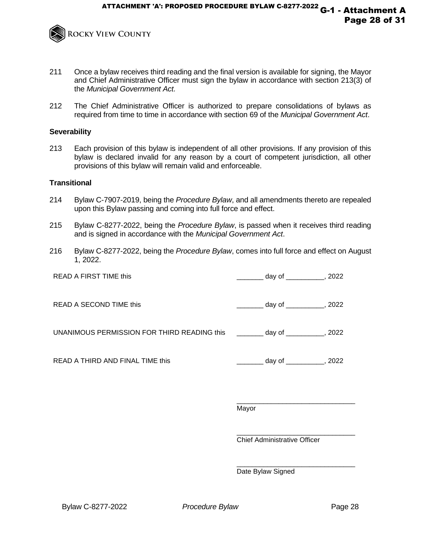

- 211 Once a bylaw receives third reading and the final version is available for signing, the Mayor and Chief Administrative Officer must sign the bylaw in accordance with section 213(3) of the *Municipal Government Act.*
- 212 The Chief Administrative Officer is authorized to prepare consolidations of bylaws as required from time to time in accordance with section 69 of the *Municipal Government Act*.

## **Severability**

213 Each provision of this bylaw is independent of all other provisions. If any provision of this bylaw is declared invalid for any reason by a court of competent jurisdiction, all other provisions of this bylaw will remain valid and enforceable.

#### **Transitional**

- 214 Bylaw C-7907-2019, being the *Procedure Bylaw*, and all amendments thereto are repealed upon this Bylaw passing and coming into full force and effect.
- 215 Bylaw C-8277-2022, being the *Procedure Bylaw*, is passed when it receives third reading and is signed in accordance with the *Municipal Government Act*.
- 216 Bylaw C-8277-2022, being the *Procedure Bylaw*, comes into full force and effect on August 1, 2022.

READ A FIRST TIME this and the state of the day of the state of the state of the state of the state of the state of the state of the state of the state of the state of the state of the state of the state of the state of th READ A SECOND TIME this \_\_\_\_\_\_\_ day of \_\_\_\_\_\_\_\_\_\_, 2022 UNANIMOUS PERMISSION FOR THIRD READING this \_\_\_\_\_\_\_ day of \_\_\_\_\_\_\_\_, 2022 READ A THIRD AND FINAL TIME this **EXECUTE:** day of the set of the set of the set of the set of the set of the set of the set of the set of the set of the set of the set of the set of the set of the set of the set of the se

> \_\_\_\_\_\_\_\_\_\_\_\_\_\_\_\_\_\_\_\_\_\_\_\_\_\_\_\_\_\_\_ Mayor

> \_\_\_\_\_\_\_\_\_\_\_\_\_\_\_\_\_\_\_\_\_\_\_\_\_\_\_\_\_\_\_ Chief Administrative Officer

> \_\_\_\_\_\_\_\_\_\_\_\_\_\_\_\_\_\_\_\_\_\_\_\_\_\_\_\_\_\_\_

Date Bylaw Signed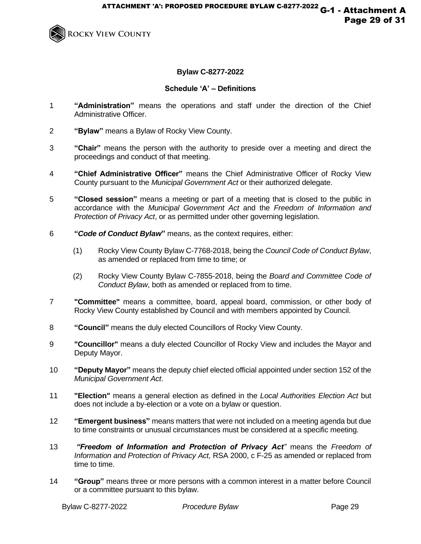

# **Bylaw C-8277-2022**

# **Schedule 'A' – Definitions**

- 1 **"Administration"** means the operations and staff under the direction of the Chief Administrative Officer.
- 2 **"Bylaw"** means a Bylaw of Rocky View County.
- 3 **"Chair"** means the person with the authority to preside over a meeting and direct the proceedings and conduct of that meeting.
- 4 **"Chief Administrative Officer"** means the Chief Administrative Officer of Rocky View County pursuant to the *Municipal Government Act* or their authorized delegate.
- 5 **"Closed session"** means a meeting or part of a meeting that is closed to the public in accordance with the *Municipal Government Act* and the *Freedom of Information and Protection of Privacy Act*, or as permitted under other governing legislation.
- 6 **"***Code of Conduct Bylaw***"** means, as the context requires, either:
	- (1) Rocky View County Bylaw C-7768-2018, being the *Council Code of Conduct Bylaw*, as amended or replaced from time to time; or
	- (2) Rocky View County Bylaw C-7855-2018, being the *Board and Committee Code of Conduct Bylaw*, both as amended or replaced from to time.
- 7 **"Committee"** means a committee, board, appeal board, commission, or other body of Rocky View County established by Council and with members appointed by Council.
- 8 **"Council"** means the duly elected Councillors of Rocky View County.
- 9 **"Councillor"** means a duly elected Councillor of Rocky View and includes the Mayor and Deputy Mayor.
- 10 **"Deputy Mayor"** means the deputy chief elected official appointed under section 152 of the *Municipal Government Act*.
- 11 **"Election"** means a general election as defined in the *Local Authorities Election Act* but does not include a by-election or a vote on a bylaw or question.
- 12 **"Emergent business"** means matters that were not included on a meeting agenda but due to time constraints or unusual circumstances must be considered at a specific meeting.
- 13 *"Freedom of Information and Protection of Privacy Act"* means the *Freedom of Information and Protection of Privacy Act,* RSA 2000, c F-25 as amended or replaced from time to time.
- 14 **"Group"** means three or more persons with a common interest in a matter before Council or a committee pursuant to this bylaw.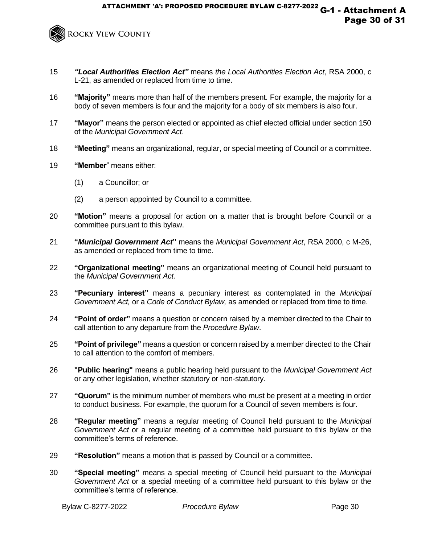

- 15 *"Local Authorities Election Act"* means *the Local Authorities Election Act*, RSA 2000, c L-21, as amended or replaced from time to time.
- 16 **"Majority"** means more than half of the members present. For example, the majority for a body of seven members is four and the majority for a body of six members is also four.
- 17 **"Mayor"** means the person elected or appointed as chief elected official under section 150 of the *Municipal Government Act*.
- 18 **"Meeting"** means an organizational, regular, or special meeting of Council or a committee.
- 19 **"Member**" means either:
	- (1) a Councillor; or
	- (2) a person appointed by Council to a committee.
- 20 **"Motion"** means a proposal for action on a matter that is brought before Council or a committee pursuant to this bylaw.
- 21 **"***Municipal Government Act***"** means the *Municipal Government Act*, RSA 2000, c M-26, as amended or replaced from time to time.
- 22 **"Organizational meeting"** means an organizational meeting of Council held pursuant to the *Municipal Government Act*.
- 23 **"Pecuniary interest"** means a pecuniary interest as contemplated in the *Municipal Government Act,* or a *Code of Conduct Bylaw,* as amended or replaced from time to time.
- 24 **"Point of order"** means a question or concern raised by a member directed to the Chair to call attention to any departure from the *Procedure Bylaw*.
- 25 **"Point of privilege"** means a question or concern raised by a member directed to the Chair to call attention to the comfort of members.
- 26 **"Public hearing"** means a public hearing held pursuant to the *Municipal Government Act*  or any other legislation, whether statutory or non-statutory.
- 27 **"Quorum"** is the minimum number of members who must be present at a meeting in order to conduct business. For example, the quorum for a Council of seven members is four.
- 28 **"Regular meeting"** means a regular meeting of Council held pursuant to the *Municipal Government Act* or a regular meeting of a committee held pursuant to this bylaw or the committee's terms of reference.
- 29 **"Resolution"** means a motion that is passed by Council or a committee.
- 30 **"Special meeting"** means a special meeting of Council held pursuant to the *Municipal Government Act* or a special meeting of a committee held pursuant to this bylaw or the committee's terms of reference.